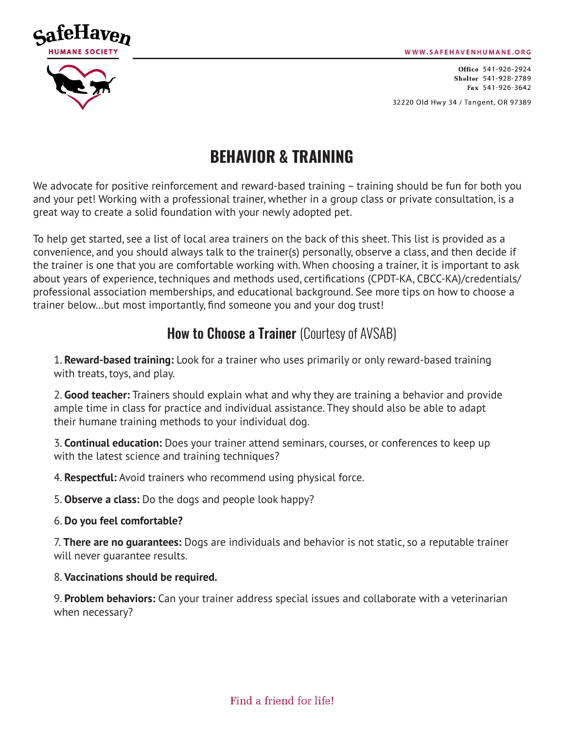WWW.SAFEHAVENHUMANE.ORG



Office 541-926-2924 Shelter 541-928-2789 Fax 541-926-3642

32220 Old Hwy 34 / Tangent, OR 97389

# **BEHAVIOR & TRAINING**

We advocate for positive reinforcement and reward-based training – training should be fun for both you and your pet! Working with a professional trainer, whether in a group class or private consultation, is a great way to create a solid foundation with your newly adopted pet.

To help get started, see a list of local area trainers on the back of this sheet. This list is provided as a convenience, and you should always talk to the trainer(s) personally, observe a class, and then decide if the trainer is one that you are comfortable working with. When choosing a trainer, it is important to ask about years of experience, techniques and methods used, certifications (CPDT-KA, CBCC-KA)/credentials/ professional association memberships, and educational background. See more tips on how to choose a trainer below…but most importantly, find someone you and your dog trust!

### **How to Choose a Trainer** (Courtesy of AVSAB)

1. **Reward-based training:** Look for a trainer who uses primarily or only reward-based training with treats, toys, and play.

2. **Good teacher:** Trainers should explain what and why they are training a behavior and provide ample time in class for practice and individual assistance. They should also be able to adapt their humane training methods to your individual dog.

3. **Continual education:** Does your trainer attend seminars, courses, or conferences to keep up with the latest science and training techniques?

4. **Respectful:** Avoid trainers who recommend using physical force.

5. **Observe a class:** Do the dogs and people look happy?

6. **Do you feel comfortable?**

7. **There are no guarantees:** Dogs are individuals and behavior is not static, so a reputable trainer will never guarantee results.

8. **Vaccinations should be required.** 

9. **Problem behaviors:** Can your trainer address special issues and collaborate with a veterinarian when necessary?

Find a friend for life!